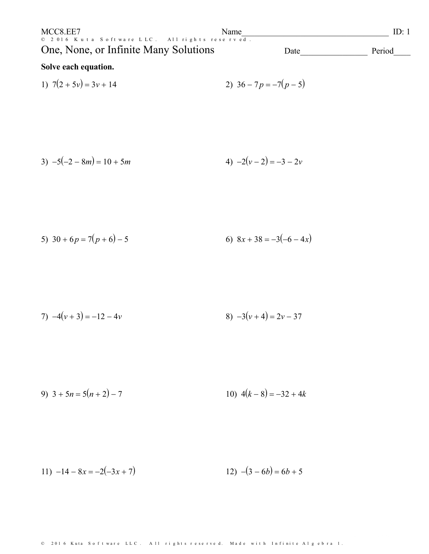| MCC8.EE7                                                                                | Name |      | ID:    |
|-----------------------------------------------------------------------------------------|------|------|--------|
| © 2016 Kuta Software LLC. All rights reserved.<br>One, None, or Infinite Many Solutions |      | Date | Period |
| Solve each equation.                                                                    |      |      |        |

1) 
$$
7(2+5v) = 3v + 14
$$
  
2)  $36-7p = -7(p-5)$ 

3) 
$$
-5(-2 - 8m) = 10 + 5m
$$
  
4)  $-2(v - 2) = -3 - 2v$ 

5) 
$$
30 + 6p = 7(p+6) - 5
$$
  
6)  $8x + 38 = -3(-6-4x)$ 

7) 
$$
-4(v+3) = -12 - 4v
$$
  
8)  $-3(v+4) = 2v - 37$ 

9) 
$$
3 + 5n = 5(n+2) - 7
$$
  
10)  $4(k-8) = -32 + 4k$ 

11) 
$$
-14 - 8x = -2(-3x + 7)
$$
  
12)  $-(3 - 6b) = 6b + 5$